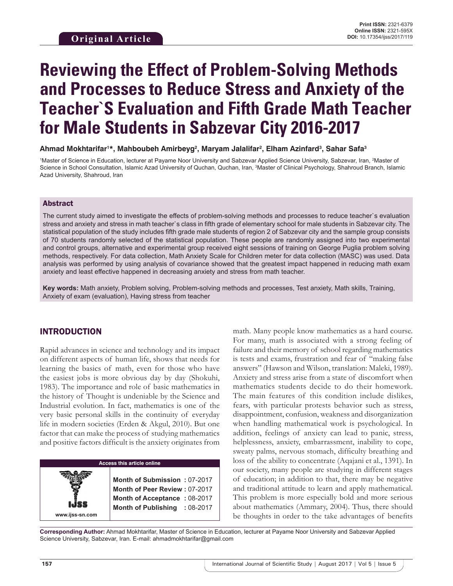# **Reviewing the Effect of Problem-Solving Methods and Processes to Reduce Stress and Anxiety of the Teacher`S Evaluation and Fifth Grade Math Teacher for Male Students in Sabzevar City 2016-2017**

#### **Ahmad Mokhtarifar1 \*, Mahboubeh Amirbeyg2 , Maryam Jalalifar2 , Elham Azinfard3 , Sahar Safa3**

<sup>1</sup>Master of Science in Education, lecturer at Payame Noor University and Sabzevar Applied Science University, Sabzevar, Iran, <sup>2</sup>Master of Science in School Consultation, Islamic Azad University of Quchan, Quchan, Iran, <sup>3</sup>Master of Clinical Psychology, Shahroud Branch, Islamic Azad University, Shahroud, Iran

#### Abstract

The current study aimed to investigate the effects of problem-solving methods and processes to reduce teacher`s evaluation stress and anxiety and stress in math teacher`s class in fifth grade of elementary school for male students in Sabzevar city. The statistical population of the study includes fifth grade male students of region 2 of Sabzevar city and the sample group consists of 70 students randomly selected of the statistical population. These people are randomly assigned into two experimental and control groups, alternative and experimental group received eight sessions of training on George Puglia problem solving methods, respectively. For data collection, Math Anxiety Scale for Children meter for data collection (MASC) was used. Data analysis was performed by using analysis of covariance showed that the greatest impact happened in reducing math exam anxiety and least effective happened in decreasing anxiety and stress from math teacher.

**Key words:** Math anxiety, Problem solving, Problem-solving methods and processes, Test anxiety, Math skills, Training, Anxiety of exam (evaluation), Having stress from teacher

## INTRODUCTION

Rapid advances in science and technology and its impact on different aspects of human life, shows that needs for learning the basics of math, even for those who have the easiest jobs is more obvious day by day (Shokuhi, 1983). The importance and role of basic mathematics in the history of Thought is undeniable by the Science and Industrial evolution. In fact, mathematics is one of the very basic personal skills in the continuity of everyday life in modern societies (Erden & Akgul, 2010). But one factor that can make the process of studying mathematics and positive factors difficult is the anxiety originates from

## **Access this article online**

**Month of Submission :** 07-2017 **Month of Peer Review :** 07-2017 **Month of Acceptance :** 08-2017 **Month of Publishing :** 08-2017 math. Many people know mathematics as a hard course. For many, math is associated with a strong feeling of failure and their memory of school regarding mathematics is tests and exams, frustration and fear of "making false answers" (Hawson and Wilson, translation: Maleki, 1989). Anxiety and stress arise from a state of discomfort when mathematics students decide to do their homework. The main features of this condition include dislikes, fears, with particular protests behavior such as stress, disappointment, confusion, weakness and disorganization when handling mathematical work is psychological. In addition, feelings of anxiety can lead to panic, stress, helplessness, anxiety, embarrassment, inability to cope, sweaty palms, nervous stomach, difficulty breathing and loss of the ability to concentrate (Aqajani et al., 1391). In our society, many people are studying in different stages of education; in addition to that, there may be negative and traditional attitude to learn and apply mathematical. This problem is more especially bold and more serious about mathematics (Ammary, 2004). Thus, there should be thoughts in order to the take advantages of benefits

**Corresponding Author:** Ahmad Mokhtarifar, Master of Science in Education, lecturer at Payame Noor University and Sabzevar Applied Science University, Sabzevar, Iran. E-mail: ahmadmokhtarifar@gmail.com

**www.ijss-sn.com**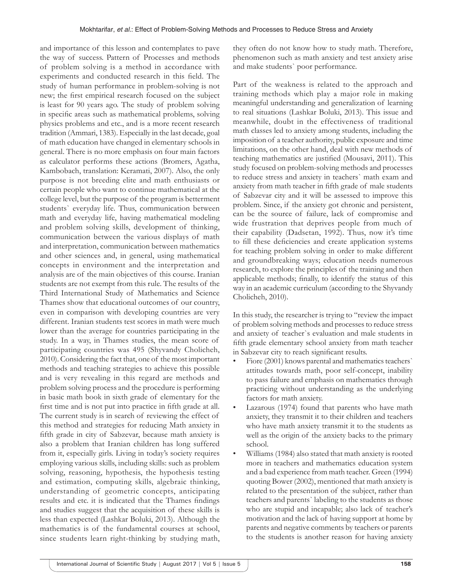and importance of this lesson and contemplates to pave the way of success. Pattern of Processes and methods of problem solving is a method in accordance with experiments and conducted research in this field. The study of human performance in problem-solving is not new; the first empirical research focused on the subject is least for 90 years ago. The study of problem solving in specific areas such as mathematical problems, solving physics problems and etc., and is a more recent research tradition (Ammari, 1383). Especially in the last decade, goal of math education have changed in elementary schools in general. There is no more emphasis on four main factors as calculator performs these actions (Bromers, Agatha, Kambobach, translation: Keramati, 2007). Also, the only purpose is not breeding elite and math enthusiasts or certain people who want to continue mathematical at the college level, but the purpose of the program is betterment students` everyday life. Thus, communication between math and everyday life, having mathematical modeling and problem solving skills, development of thinking, communication between the various displays of math and interpretation, communication between mathematics and other sciences and, in general, using mathematical concepts in environment and the interpretation and analysis are of the main objectives of this course. Iranian students are not exempt from this rule. The results of the Third International Study of Mathematics and Science Thames show that educational outcomes of our country, even in comparison with developing countries are very different. Iranian students test scores in math were much lower than the average for countries participating in the study. In a way, in Thames studies, the mean score of participating countries was 495 (Shyvandy Cholicheh, 2010). Considering the fact that, one of the most important methods and teaching strategies to achieve this possible and is very revealing in this regard are methods and problem solving process and the procedure is performing in basic math book in sixth grade of elementary for the first time and is not put into practice in fifth grade at all. The current study is in search of reviewing the effect of this method and strategies for reducing Math anxiety in fifth grade in city of Sabzevar, because math anxiety is also a problem that Iranian children has long suffered from it, especially girls. Living in today's society requires employing various skills, including skills: such as problem solving, reasoning, hypothesis, the hypothesis testing and estimation, computing skills, algebraic thinking, understanding of geometric concepts, anticipating results and etc. it is indicated that the Thames findings and studies suggest that the acquisition of these skills is less than expected (Lashkar Boluki, 2013). Although the mathematics is of the fundamental courses at school, since students learn right-thinking by studying math,

they often do not know how to study math. Therefore, phenomenon such as math anxiety and test anxiety arise and make students` poor performance.

Part of the weakness is related to the approach and training methods which play a major role in making meaningful understanding and generalization of learning to real situations (Lashkar Boluki, 2013). This issue and meanwhile, doubt in the effectiveness of traditional math classes led to anxiety among students, including the imposition of a teacher authority, public exposure and time limitations, on the other hand, deal with new methods of teaching mathematics are justified (Mousavi, 2011). This study focused on problem-solving methods and processes to reduce stress and anxiety in teachers` math exam and anxiety from math teacher in fifth grade of male students of Sabzevar city and it will be assessed to improve this problem. Since, if the anxiety got chronic and persistent, can be the source of failure, lack of compromise and wide frustration that deprives people from much of their capability (Dadsetan, 1992). Thus, now it's time to fill these deficiencies and create application systems for teaching problem solving in order to make different and groundbreaking ways; education needs numerous research, to explore the principles of the training and then applicable methods; finally, to identify the status of this way in an academic curriculum (according to the Shyvandy Cholicheh, 2010).

In this study, the researcher is trying to "review the impact of problem solving methods and processes to reduce stress and anxiety of teacher`s evaluation and male students in fifth grade elementary school anxiety from math teacher in Sabzevar city to reach significant results.

- Fiore (2001) knows parental and mathematics teachers` attitudes towards math, poor self-concept, inability to pass failure and emphasis on mathematics through practicing without understanding as the underlying factors for math anxiety.
- Lazarous (1974) found that parents who have math anxiety, they transmit it to their children and teachers who have math anxiety transmit it to the students as well as the origin of the anxiety backs to the primary school.
- Williams (1984) also stated that math anxiety is rooted more in teachers and mathematics education system and a bad experience from math teacher. Green (1994) quoting Bower (2002), mentioned that math anxiety is related to the presentation of the subject, rather than teachers and parents` labeling to the students as those who are stupid and incapable; also lack of teacher's motivation and the lack of having support at home by parents and negative comments by teachers or parents to the students is another reason for having anxiety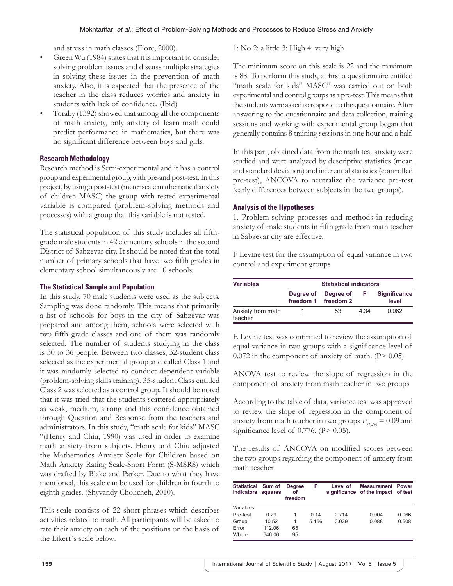and stress in math classes (Fiore, 2000).

- Green Wu (1984) states that it is important to consider solving problem issues and discuss multiple strategies in solving these issues in the prevention of math anxiety. Also, it is expected that the presence of the teacher in the class reduces worries and anxiety in students with lack of confidence. (Ibid)
- Toraby (1392) showed that among all the components of math anxiety, only anxiety of learn math could predict performance in mathematics, but there was no significant difference between boys and girls.

### **Research Methodology**

Research method is Semi-experimental and it has a control group and experimental group, with pre-and post-test. In this project, by using a post-test (meter scale mathematical anxiety of children MASC) the group with tested experimental variable is compared (problem-solving methods and processes) with a group that this variable is not tested.

The statistical population of this study includes all fifthgrade male students in 42 elementary schools in the second District of Sabzevar city. It should be noted that the total number of primary schools that have two fifth grades in elementary school simultaneously are 10 schools.

### **The Statistical Sample and Population**

In this study, 70 male students were used as the subjects. Sampling was done randomly. This means that primarily a list of schools for boys in the city of Sabzevar was prepared and among them, schools were selected with two fifth grade classes and one of them was randomly selected. The number of students studying in the class is 30 to 36 people. Between two classes, 32-student class selected as the experimental group and called Class 1 and it was randomly selected to conduct dependent variable (problem-solving skills training). 35-student Class entitled Class 2 was selected as a control group. It should be noted that it was tried that the students scattered appropriately as weak, medium, strong and this confidence obtained through Question and Response from the teachers and administrators. In this study, "math scale for kids" MASC "(Henry and Chiu, 1990) was used in order to examine math anxiety from subjects. Henry and Chiu adjusted the Mathematics Anxiety Scale for Children based on Math Anxiety Rating Scale-Short Form (S-MSRS) which was drafted by Blake and Parker. Due to what they have mentioned, this scale can be used for children in fourth to eighth grades. (Shyvandy Cholicheh, 2010).

This scale consists of 22 short phrases which describes activities related to math. All participants will be asked to rate their anxiety on each of the positions on the basis of the Likert`s scale below:

1: No 2: a little 3: High 4: very high

The minimum score on this scale is 22 and the maximum is 88. To perform this study, at first a questionnaire entitled "math scale for kids" MASC" was carried out on both experimental and control groups as a pre-test. This means that the students were asked to respond to the questionnaire. After answering to the questionnaire and data collection, training sessions and working with experimental group began that generally contains 8 training sessions in one hour and a half.

In this part, obtained data from the math test anxiety were studied and were analyzed by descriptive statistics (mean and standard deviation) and inferential statistics (controlled pre-test), ANCOVA to neutralize the variance pre-test (early differences between subjects in the two groups).

### **Analysis of the Hypotheses**

1. Problem-solving processes and methods in reducing anxiety of male students in fifth grade from math teacher in Sabzevar city are effective.

F Levine test for the assumption of equal variance in two control and experiment groups

| <b>Variables</b>             | <b>Statistical indicators</b> |                        |      |                              |  |  |
|------------------------------|-------------------------------|------------------------|------|------------------------------|--|--|
|                              | Degree of<br>freedom 1        | Degree of<br>freedom 2 |      | <b>Significance</b><br>level |  |  |
| Anxiety from math<br>teacher |                               | 53                     | 4 34 | 0.062                        |  |  |

F. Levine test was confirmed to review the assumption of equal variance in two groups with a significance level of  $0.072$  in the component of anxiety of math. (P $> 0.05$ ).

ANOVA test to review the slope of regression in the component of anxiety from math teacher in two groups

According to the table of data, variance test was approved to review the slope of regression in the component of anxiety from math teacher in two groups  $F_{(1,26)} = 0.09$  and significance level of  $0.776$ . (P $> 0.05$ ).

The results of ANCOVA on modified scores between the two groups regarding the component of anxiety from math teacher

| <b>Statistical</b><br>indicators squares | Sum of | <b>Degree</b><br>οf<br>freedom | F     | Level of | <b>Measurement Power</b><br>significance of the impact of test |       |
|------------------------------------------|--------|--------------------------------|-------|----------|----------------------------------------------------------------|-------|
| Variables                                |        |                                |       |          |                                                                |       |
| Pre-test                                 | 0.29   | 1                              | 0.14  | 0.714    | 0.004                                                          | 0.066 |
| Group                                    | 10.52  | 1                              | 5.156 | 0.029    | 0.088                                                          | 0.608 |
| Error                                    | 112.06 | 65                             |       |          |                                                                |       |
| Whole                                    | 646.06 | 95                             |       |          |                                                                |       |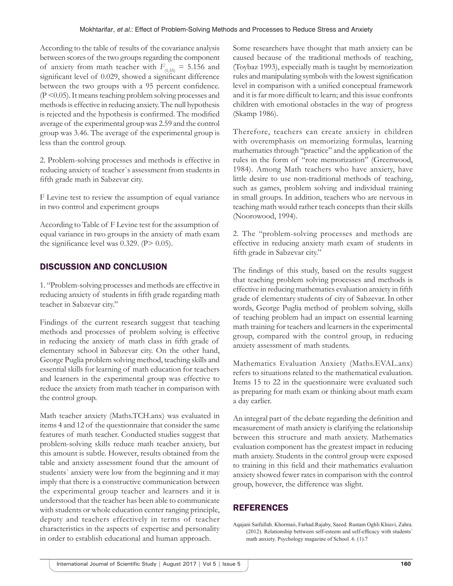According to the table of results of the covariance analysis between scores of the two groups regarding the component of anxiety from math teacher with  $F_{(1,55)} = 5.156$  and significant level of 0.029, showed a significant difference between the two groups with a 95 percent confidence. (P <0.05). It means teaching problem solving processes and methods is effective in reducing anxiety. The null hypothesis is rejected and the hypothesis is confirmed. The modified average of the experimental group was 2.59 and the control group was 3.46. The average of the experimental group is less than the control group.

2. Problem-solving processes and methods is effective in reducing anxiety of teacher`s assessment from students in fifth grade math in Sabzevar city.

F Levine test to review the assumption of equal variance in two control and experiment groups

According to Table of F Levine test for the assumption of equal variance in two groups in the anxiety of math exam the significance level was  $0.329$ . (P $> 0.05$ ).

# DISCUSSION AND CONCLUSION

1. "Problem-solving processes and methods are effective in reducing anxiety of students in fifth grade regarding math teacher in Sabzevar city."

Findings of the current research suggest that teaching methods and processes of problem solving is effective in reducing the anxiety of math class in fifth grade of elementary school in Sabzevar city. On the other hand, George Puglia problem solving method, teaching skills and essential skills for learning of math education for teachers and learners in the experimental group was effective to reduce the anxiety from math teacher in comparison with the control group.

Math teacher anxiety (Maths.TCH.anx) was evaluated in items 4 and 12 of the questionnaire that consider the same features of math teacher. Conducted studies suggest that problem-solving skills reduce math teacher anxiety, but this amount is subtle. However, results obtained from the table and anxiety assessment found that the amount of students` anxiety were low from the beginning and it may imply that there is a constructive communication between the experimental group teacher and learners and it is understood that the teacher has been able to communicate with students or whole education center ranging principle, deputy and teachers effectively in terms of teacher characteristics in the aspects of expertise and personality in order to establish educational and human approach.

Some researchers have thought that math anxiety can be caused because of the traditional methods of teaching, (Toybaz 1993), especially math is taught by memorization rules and manipulating symbols with the lowest signification level in comparison with a unified conceptual framework and it is far more difficult to learn; and this issue confronts children with emotional obstacles in the way of progress (Skamp 1986).

Therefore, teachers can create anxiety in children with overemphasis on memorizing formulas, learning mathematics through "practice" and the application of the rules in the form of "rote memorization" (Greenwood, 1984). Among Math teachers who have anxiety, have little desire to use non-traditional methods of teaching, such as games, problem solving and individual training in small groups. In addition, teachers who are nervous in teaching math would rather teach concepts than their skills (Noorowood, 1994).

2. The "problem-solving processes and methods are effective in reducing anxiety math exam of students in fifth grade in Sabzevar city."

The findings of this study, based on the results suggest that teaching problem solving processes and methods is effective in reducing mathematics evaluation anxiety in fifth grade of elementary students of city of Sabzevar. In other words, George Puglia method of problem solving, skills of teaching problem had an impact on essential learning math training for teachers and learners in the experimental group, compared with the control group, in reducing anxiety assessment of math students.

Mathematics Evaluation Anxiety (Maths.EVAL.anx) refers to situations related to the mathematical evaluation. Items 15 to 22 in the questionnaire were evaluated such as preparing for math exam or thinking about math exam a day earlier.

An integral part of the debate regarding the definition and measurement of math anxiety is clarifying the relationship between this structure and math anxiety. Mathematics evaluation component has the greatest impact in reducing math anxiety. Students in the control group were exposed to training in this field and their mathematics evaluation anxiety showed fewer rates in comparison with the control group, however, the difference was slight.

## REFERENCES

Aqajani Saifullah. Khormaii, Farhad.Rajaby, Saeed. Rustam Oghli Khiavi, Zahra. (2012). Relationship bettween self-esteem and self-efficacy with students` math anxiety. Psychology magazine of School. 6. (1).7